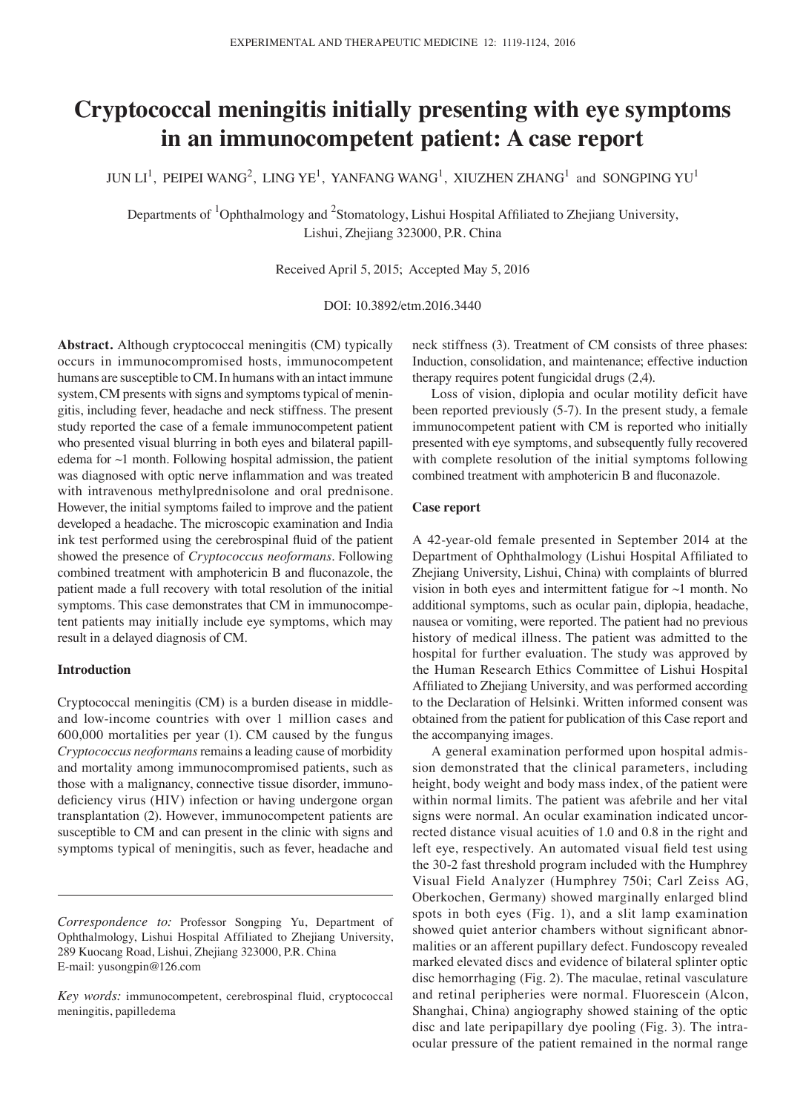# **Cryptococcal meningitis initially presenting with eye symptoms in an immunocompetent patient: A case report**

JUN  $\mathrm{LI}^1$ , PEIPEI WANG<sup>2</sup>, LING YE<sup>1</sup>, YANFANG WANG<sup>1</sup>, XIUZHEN ZHANG<sup>1</sup> and SONGPING YU<sup>1</sup>

Departments of <sup>1</sup>Ophthalmology and <sup>2</sup>Stomatology, Lishui Hospital Affiliated to Zhejiang University, Lishui, Zhejiang 323000, P.R. China

Received April 5, 2015; Accepted May 5, 2016

DOI: 10.3892/etm.2016.3440

**Abstract.** Although cryptococcal meningitis (CM) typically occurs in immunocompromised hosts, immunocompetent humans are susceptible to CM. In humans with an intact immune system, CM presents with signs and symptoms typical of meningitis, including fever, headache and neck stiffness. The present study reported the case of a female immunocompetent patient who presented visual blurring in both eyes and bilateral papilledema for  $\sim$ 1 month. Following hospital admission, the patient was diagnosed with optic nerve inflammation and was treated with intravenous methylprednisolone and oral prednisone. However, the initial symptoms failed to improve and the patient developed a headache. The microscopic examination and India ink test performed using the cerebrospinal fluid of the patient showed the presence of *Cryptococcus neoformans*. Following combined treatment with amphotericin B and fluconazole, the patient made a full recovery with total resolution of the initial symptoms. This case demonstrates that CM in immunocompetent patients may initially include eye symptoms, which may result in a delayed diagnosis of CM.

## **Introduction**

Cryptococcal meningitis (CM) is a burden disease in middleand low-income countries with over 1 million cases and 600,000 mortalities per year (1). CM caused by the fungus *Cryptococcus neoformans* remains a leading cause of morbidity and mortality among immunocompromised patients, such as those with a malignancy, connective tissue disorder, immunodeficiency virus (HIV) infection or having undergone organ transplantation (2). However, immunocompetent patients are susceptible to CM and can present in the clinic with signs and symptoms typical of meningitis, such as fever, headache and neck stiffness (3). Treatment of CM consists of three phases: Induction, consolidation, and maintenance; effective induction therapy requires potent fungicidal drugs (2,4).

Loss of vision, diplopia and ocular motility deficit have been reported previously (5-7). In the present study, a female immunocompetent patient with CM is reported who initially presented with eye symptoms, and subsequently fully recovered with complete resolution of the initial symptoms following combined treatment with amphotericin B and fluconazole.

## **Case report**

A 42-year-old female presented in September 2014 at the Department of Ophthalmology (Lishui Hospital Affiliated to Zhejiang University, Lishui, China) with complaints of blurred vision in both eyes and intermittent fatigue for  $\sim$ 1 month. No additional symptoms, such as ocular pain, diplopia, headache, nausea or vomiting, were reported. The patient had no previous history of medical illness. The patient was admitted to the hospital for further evaluation. The study was approved by the Human Research Ethics Committee of Lishui Hospital Affiliated to Zhejiang University, and was performed according to the Declaration of Helsinki. Written informed consent was obtained from the patient for publication of this Case report and the accompanying images.

A general examination performed upon hospital admission demonstrated that the clinical parameters, including height, body weight and body mass index, of the patient were within normal limits. The patient was afebrile and her vital signs were normal. An ocular examination indicated uncorrected distance visual acuities of 1.0 and 0.8 in the right and left eye, respectively. An automated visual field test using the 30-2 fast threshold program included with the Humphrey Visual Field Analyzer (Humphrey 750i; Carl Zeiss AG, Oberkochen, Germany) showed marginally enlarged blind spots in both eyes (Fig. 1), and a slit lamp examination showed quiet anterior chambers without significant abnormalities or an afferent pupillary defect. Fundoscopy revealed marked elevated discs and evidence of bilateral splinter optic disc hemorrhaging (Fig. 2). The maculae, retinal vasculature and retinal peripheries were normal. Fluorescein (Alcon, Shanghai, China) angiography showed staining of the optic disc and late peripapillary dye pooling (Fig. 3). The intraocular pressure of the patient remained in the normal range

*Correspondence to:* Professor Songping Yu, Department of Ophthalmology, Lishui Hospital Affiliated to Zhejiang University, 289 Kuocang Road, Lishui, Zhejiang 323000, P.R. China E-mail: yusongpin@126.com

*Key words:* immunocompetent, cerebrospinal fluid, cryptococcal meningitis, papilledema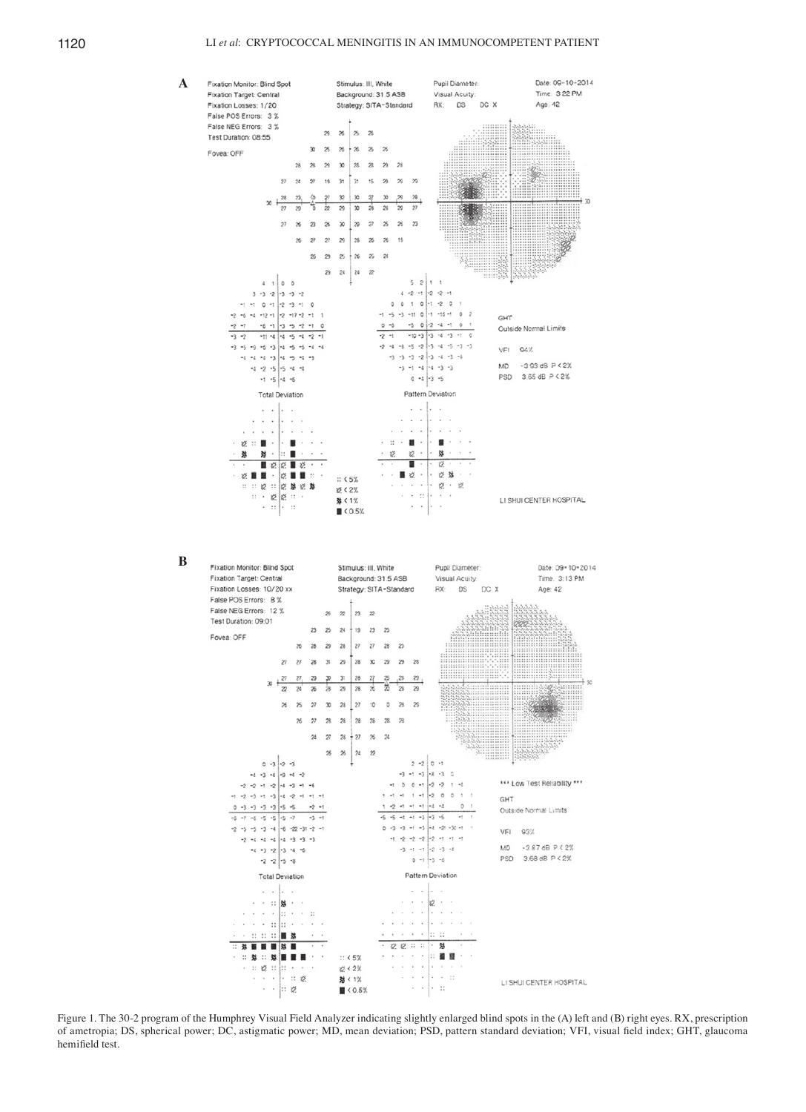## 1120 LI *et al*: CRYPTOCOCCAL MENINGITIS IN AN IMMUNOCOMPETENT PATIENT



Figure 1. The 30‑2 program of the Humphrey Visual Field Analyzer indicating slightly enlarged blind spots in the (A) left and (B) right eyes. RX, prescription of ametropia; DS, spherical power; DC, astigmatic power; MD, mean deviation; PSD, pattern standard deviation; VFI, visual field index; GHT, glaucoma hemifield test.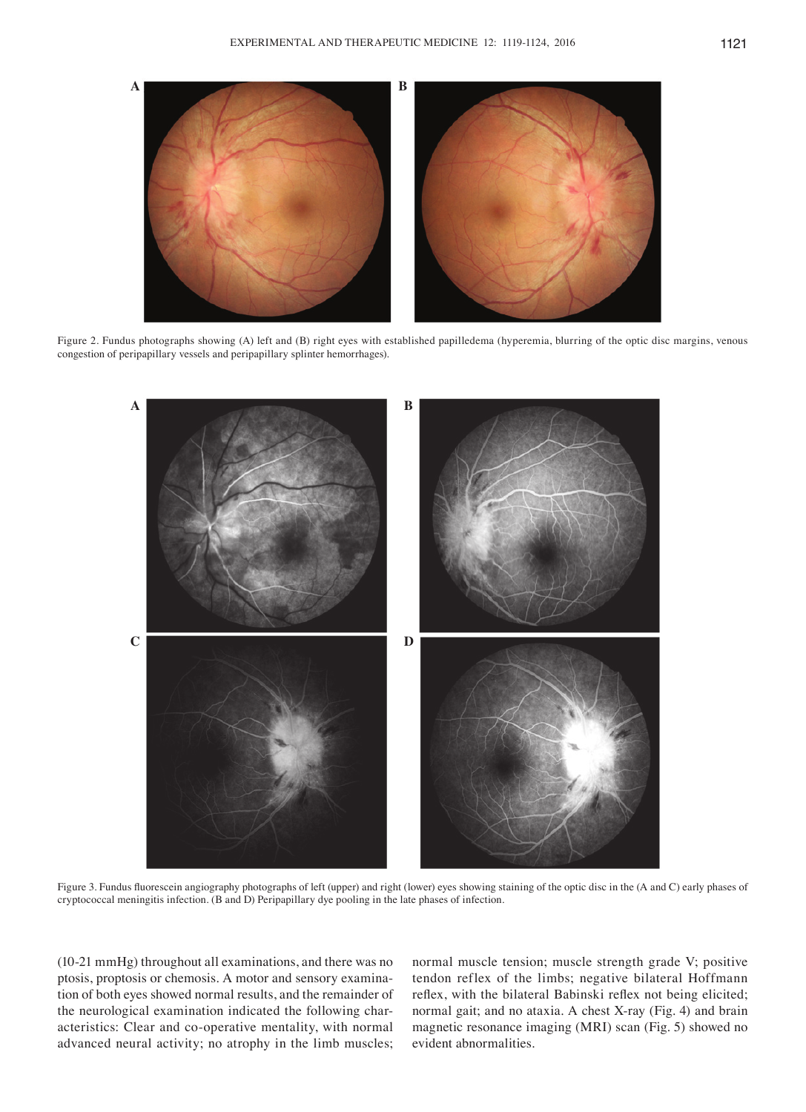

Figure 2. Fundus photographs showing (A) left and (B) right eyes with established papilledema (hyperemia, blurring of the optic disc margins, venous congestion of peripapillary vessels and peripapillary splinter hemorrhages).



Figure 3. Fundus fluorescein angiography photographs of left (upper) and right (lower) eyes showing staining of the optic disc in the (A and C) early phases of cryptococcal meningitis infection. (B and D) Peripapillary dye pooling in the late phases of infection.

(10-21 mmHg) throughout all examinations, and there was no ptosis, proptosis or chemosis. A motor and sensory examination of both eyes showed normal results, and the remainder of the neurological examination indicated the following characteristics: Clear and co-operative mentality, with normal advanced neural activity; no atrophy in the limb muscles; normal muscle tension; muscle strength grade V; positive tendon reflex of the limbs; negative bilateral Hoffmann reflex, with the bilateral Babinski reflex not being elicited; normal gait; and no ataxia. A chest X-ray (Fig. 4) and brain magnetic resonance imaging (MRI) scan (Fig. 5) showed no evident abnormalities.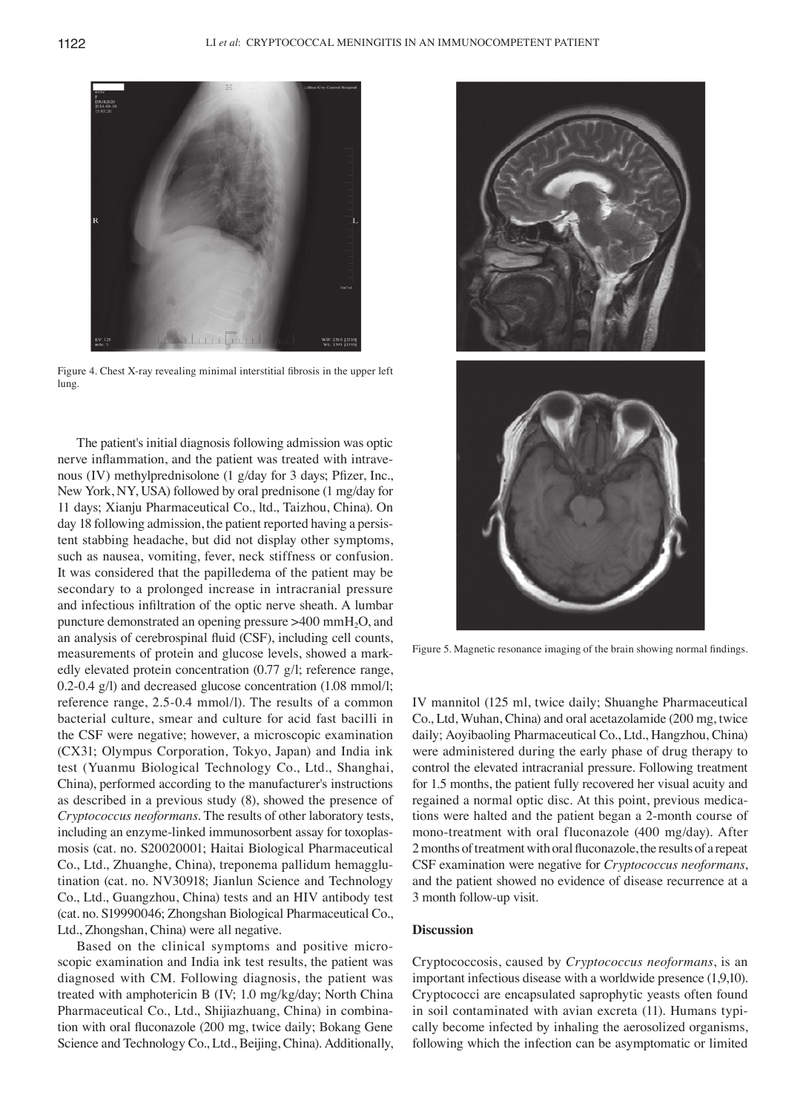

Figure 4. Chest X‑ray revealing minimal interstitial fibrosis in the upper left lung.

The patient's initial diagnosis following admission was optic nerve inflammation, and the patient was treated with intravenous (IV) methylprednisolone (1 g/day for 3 days; Pfizer, Inc., New York, NY, USA) followed by oral prednisone (1 mg/day for 11 days; Xianju Pharmaceutical Co., ltd., Taizhou, China). On day 18 following admission, the patient reported having a persistent stabbing headache, but did not display other symptoms, such as nausea, vomiting, fever, neck stiffness or confusion. It was considered that the papilledema of the patient may be secondary to a prolonged increase in intracranial pressure and infectious infiltration of the optic nerve sheath. A lumbar puncture demonstrated an opening pressure >400 mmH2O, and an analysis of cerebrospinal fluid (CSF), including cell counts, measurements of protein and glucose levels, showed a markedly elevated protein concentration (0.77 g/l; reference range, 0.2-0.4 g/l) and decreased glucose concentration (1.08 mmol/l; reference range, 2.5-0.4 mmol/l). The results of a common bacterial culture, smear and culture for acid fast bacilli in the CSF were negative; however, a microscopic examination (CX31; Olympus Corporation, Tokyo, Japan) and India ink test (Yuanmu Biological Technology Co., Ltd., Shanghai, China), performed according to the manufacturer's instructions as described in a previous study (8), showed the presence of *Cryptococcus neoformans*. The results of other laboratory tests, including an enzyme-linked immunosorbent assay for toxoplasmosis (cat. no. S20020001; Haitai Biological Pharmaceutical Co., Ltd., Zhuanghe, China), treponema pallidum hemagglutination (cat. no. NV30918; Jianlun Science and Technology Co., Ltd., Guangzhou, China) tests and an HIV antibody test (cat. no. S19990046; Zhongshan Biological Pharmaceutical Co., Ltd., Zhongshan, China) were all negative.

Based on the clinical symptoms and positive microscopic examination and India ink test results, the patient was diagnosed with CM. Following diagnosis, the patient was treated with amphotericin B (IV; 1.0 mg/kg/day; North China Pharmaceutical Co., Ltd., Shijiazhuang, China) in combination with oral fluconazole (200 mg, twice daily; Bokang Gene Science and Technology Co., Ltd., Beijing, China). Additionally,



Figure 5. Magnetic resonance imaging of the brain showing normal findings.

IV mannitol (125 ml, twice daily; Shuanghe Pharmaceutical Co., Ltd, Wuhan, China) and oral acetazolamide (200 mg, twice daily; Aoyibaoling Pharmaceutical Co., Ltd., Hangzhou, China) were administered during the early phase of drug therapy to control the elevated intracranial pressure. Following treatment for 1.5 months, the patient fully recovered her visual acuity and regained a normal optic disc. At this point, previous medications were halted and the patient began a 2-month course of mono-treatment with oral fluconazole (400 mg/day). After 2months of treatment with oral fluconazole, the results of a repeat CSF examination were negative for *Cryptococcus neoformans*, and the patient showed no evidence of disease recurrence at a 3 month follow-up visit.

### **Discussion**

Cryptococcosis, caused by *Cryptococcus neoformans*, is an important infectious disease with a worldwide presence (1,9,10). Cryptococci are encapsulated saprophytic yeasts often found in soil contaminated with avian excreta (11). Humans typically become infected by inhaling the aerosolized organisms, following which the infection can be asymptomatic or limited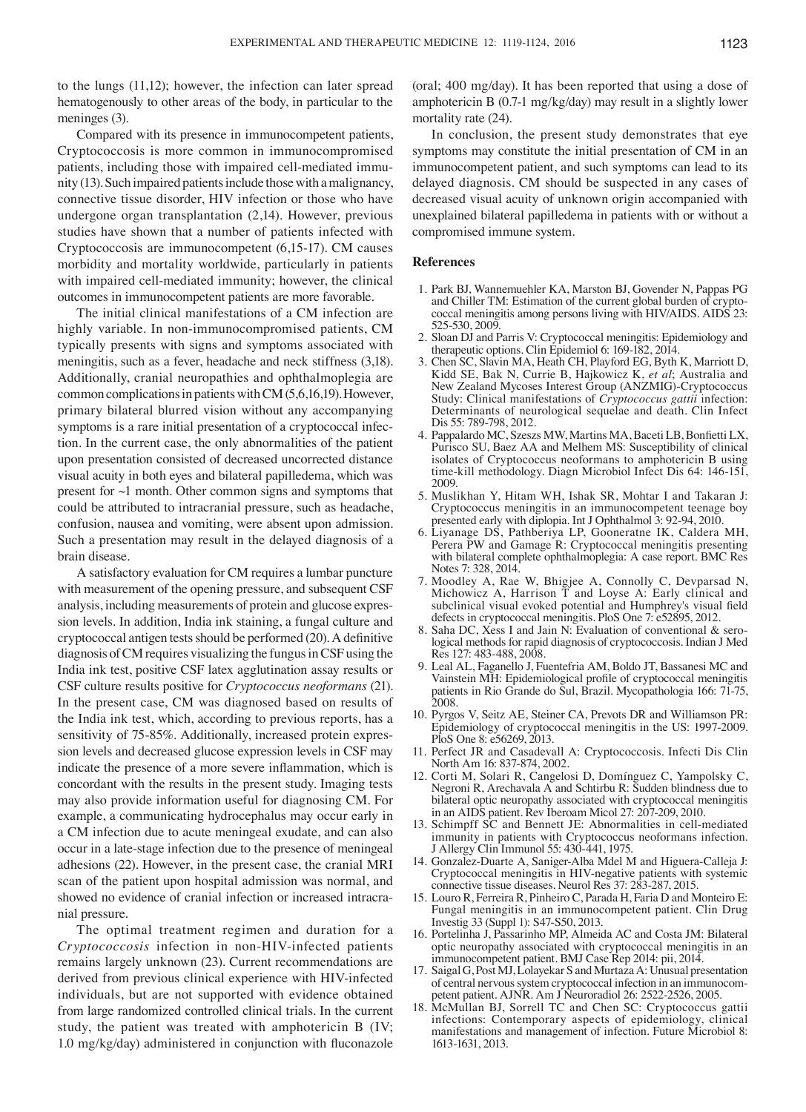to the lungs (11,12); however, the infection can later spread hematogenously to other areas of the body, in particular to the meninges (3).

Compared with its presence in immunocompetent patients, Cryptococcosis is more common in immunocompromised patients, including those with impaired cell-mediated immunity (13). Such impaired patients include those with a malignancy, connective tissue disorder, HIV infection or those who have undergone organ transplantation (2,14). However, previous studies have shown that a number of patients infected with Cryptococcosis are immunocompetent (6,15-17). CM causes morbidity and mortality worldwide, particularly in patients with impaired cell-mediated immunity; however, the clinical outcomes in immunocompetent patients are more favorable.

The initial clinical manifestations of a CM infection are highly variable. In non-immunocompromised patients, CM typically presents with signs and symptoms associated with meningitis, such as a fever, headache and neck stiffness (3,18). Additionally, cranial neuropathies and ophthalmoplegia are common complications in patients with CM(5,6,16,19). However, primary bilateral blurred vision without any accompanying symptoms is a rare initial presentation of a cryptococcal infection. In the current case, the only abnormalities of the patient upon presentation consisted of decreased uncorrected distance visual acuity in both eyes and bilateral papilledema, which was present for ~1 month. Other common signs and symptoms that could be attributed to intracranial pressure, such as headache, confusion, nausea and vomiting, were absent upon admission. Such a presentation may result in the delayed diagnosis of a brain disease.

A satisfactory evaluation for CM requires a lumbar puncture with measurement of the opening pressure, and subsequent CSF analysis, including measurements of protein and glucose expression levels. In addition, India ink staining, a fungal culture and cryptococcal antigen tests should be performed (20). A definitive diagnosis of CM requires visualizing the fungus in CSF using the India ink test, positive CSF latex agglutination assay results or CSF culture results positive for *Cryptococcus neoformans* (21). In the present case, CM was diagnosed based on results of the India ink test, which, according to previous reports, has a sensitivity of 75-85%. Additionally, increased protein expression levels and decreased glucose expression levels in CSF may indicate the presence of a more severe inflammation, which is concordant with the results in the present study. Imaging tests may also provide information useful for diagnosing CM. For example, a communicating hydrocephalus may occur early in a CM infection due to acute meningeal exudate, and can also occur in a late-stage infection due to the presence of meningeal adhesions (22). However, in the present case, the cranial MRI scan of the patient upon hospital admission was normal, and showed no evidence of cranial infection or increased intracranial pressure.

The optimal treatment regimen and duration for a *Cryptococcosis* infection in non‑HIV‑infected patients remains largely unknown (23). Current recommendations are derived from previous clinical experience with HIV‑infected individuals, but are not supported with evidence obtained from large randomized controlled clinical trials. In the current study, the patient was treated with amphotericin B (IV; 1.0 mg/kg/day) administered in conjunction with fluconazole

(oral; 400 mg/day). It has been reported that using a dose of amphotericin B (0.7-1 mg/kg/day) may result in a slightly lower mortality rate (24).

In conclusion, the present study demonstrates that eye symptoms may constitute the initial presentation of CM in an immunocompetent patient, and such symptoms can lead to its delayed diagnosis. CM should be suspected in any cases of decreased visual acuity of unknown origin accompanied with unexplained bilateral papilledema in patients with or without a compromised immune system.

### **References**

- 1. Park BJ, Wannemuehler KA, Marston BJ, Govender N, Pappas PG and Chiller TM: Estimation of the current global burden of cryptococcal meningitis among persons living with HIV/AIDS. AIDS 23: 525-530, 2009.
- 2. Sloan DJ and Parris V: Cryptococcal meningitis: Epidemiology and
- 3. Chen SC, Slavin MA, Heath CH, Playford EG, Byth K, Marriott D, Kidd SE, Bak N, Currie B, Hajkowicz K, *et al*; Australia and New Zealand Mycoses Interest Group (ANZMIG)‑Cryptococcus Study: Clinical manifestations of *Cryptococcus gattii* infection: Determinants of neurological sequelae and death. Clin Infect Dis 55: 789-798, 2012.
- 4. Pappalardo MC, Szeszs MW, Martins MA, Baceti LB, Bonfietti LX, Purisco SU, Baez AA and Melhem MS: Susceptibility of clinical isolates of Cryptococcus neoformans to amphotericin B using time-kill methodology. Diagn Microbiol Infect Dis 64: 146-151, 2009.
- 5. Muslikhan Y, Hitam WH, Ishak SR, Mohtar I and Takaran J: Cryptococcus meningitis in an immunocompetent teenage boy presented early with diplopia. Int J Ophthalmol 3: 92-94, 2010.
- 6. Liyanage DS, Pathberiya LP, Gooneratne IK, Caldera MH, Perera PW and Gamage R: Cryptococcal meningitis presenting with bilateral complete ophthalmoplegia: A case report. BMC Res Notes 7: 328, 2014.
- 7. Moodley A, Rae W, Bhigjee A, Connolly C, Devparsad N, Michowicz A, Harrison T and Loyse A: Early clinical and subclinical visual evoked potential and Humphrey's visual field defects in cryptococcal meningitis. PloS One 7: e52895, 2012.
- 8. Saha DC, Xess I and Jain N: Evaluation of conventional & serological methods for rapid diagnosis of cryptococcosis. Indian J Med Res 127: 483-488, 2008.
- 9. Leal AL, Faganello J, Fuentefria AM, Boldo JT, Bassanesi MC and Vainstein MH: Epidemiological profile of cryptococcal meningitis patients in Rio Grande do Sul, Brazil. Mycopathologia 166: 71‑75, 2008.
- 10. Pyrgos V, Seitz AE, Steiner CA, Prevots DR and Williamson PR: Epidemiology of cryptococcal meningitis in the US: 1997-2009. PloS One 8: e56269, 2013.
- 11. Perfect JR and Casadevall A: Cryptococcosis. Infecti Dis Clin North Am 16: 837-874, 2002.
- 12. Corti M, Solari R, Cangelosi D, Domínguez C, Yampolsky C, Negroni R, Arechavala A and Schtirbu R: Sudden blindness due to bilateral optic neuropathy associated with cryptococcal meningitis in an AIDS patient. Rev Iberoam Micol 27: 207-209, 2010.
- 13. Schimpff SC and Bennett JE: Abnormalities in cell-mediated immunity in patients with Cryptococcus neoformans infection. J Allergy Clin Immunol 55: 430-441, 1975.
- 14. Gonzalez-Duarte A, Saniger-Alba Mdel M and Higuera-Calleja J: Cryptococcal meningitis in HIV‑negative patients with systemic connective tissue diseases. Neurol Res 37: 283-287, 2015.
- 15. Louro R, Ferreira R, Pinheiro C, Parada H, Faria D and Monteiro E: Fungal meningitis in an immunocompetent patient. Clin Drug
- 16. Portelinha J, Passarinho MP, Almeida AC and Costa JM: Bilateral optic neuropathy associated with cryptococcal meningitis in an immunocompetent patient. BMJ Case Rep 2014: pii, 2014.
- 17. Saigal G, Post MJ, Lolayekar S and Murtaza A: Unusual presentation of central nervous system cryptococcal infection in an immunocompetent patient. AJNR. Am J Neuroradiol 26: 2522-2526, 2005.
- 18. McMullan BJ, Sorrell TC and Chen SC: Cryptococcus gattii infections: Contemporary aspects of epidemiology, clinical manifestations and management of infection. Future Microbiol 8: 1613-1631, 2013.